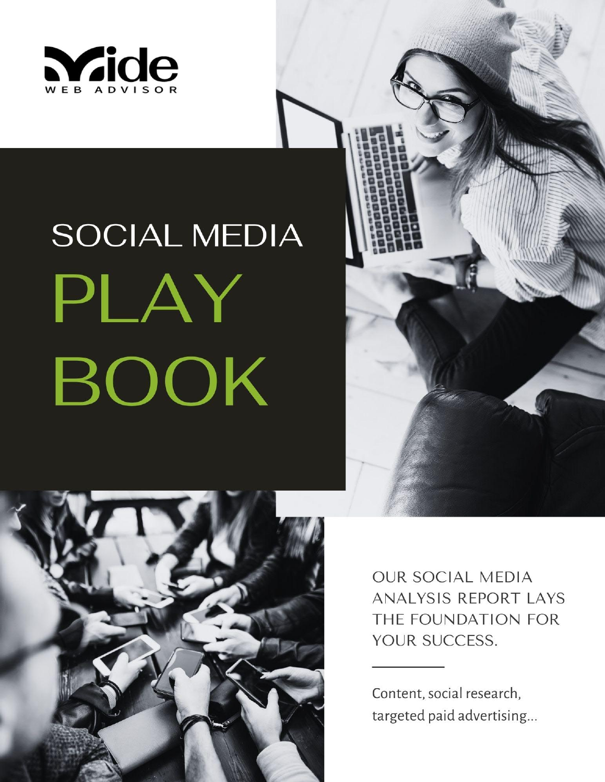

# **SOCIAL MEDIA** PLAY BOOK



**OUR SOCIAL MEDIA ANALYSIS REPORT LAYS** THE FOUNDATION FOR YOUR SUCCESS.

Content, social research, targeted paid advertising...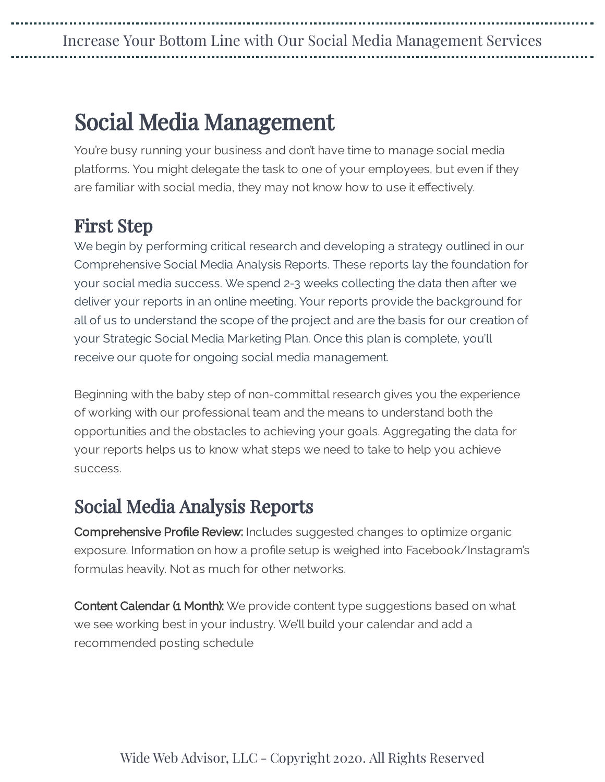# Social Media Management

You're busy running your business and don't have time to manage social media platforms. You might delegate the task to one of your employees, but even if they are familiar with social media, they may not know how to use it effectively.

#### First Step

We begin by performing critical research and developing a strategy outlined in our Comprehensive Social Media Analysis Reports. These reports lay the foundation for your social media success. We spend 2-3 weeks collecting the data then after we deliver your reports in an online meeting. Your reports provide the background for all of us to understand the scope of the project and are the basis for our creation of your Strategic Social Media Marketing Plan. Once this plan is complete, you'll receive our quote for ongoing social media management.

Beginning with the baby step of non-committal research gives you the experience of working with our professional team and the means to understand both the opportunities and the obstacles to achieving your goals. Aggregating the data for your reports helps us to know what steps we need to take to help you achieve success.

#### Social Media Analysis Reports

**Comprehensive Profile Review:** Includes suggested changes to optimize organic exposure. Information on how a profile setup is weighed into Facebook/Instagram's formulas heavily. Not as much for other networks.

**Content Calendar (1 Month):** We provide content type suggestions based on what we see working best in your industry. We'll build your calendar and add a recommended posting schedule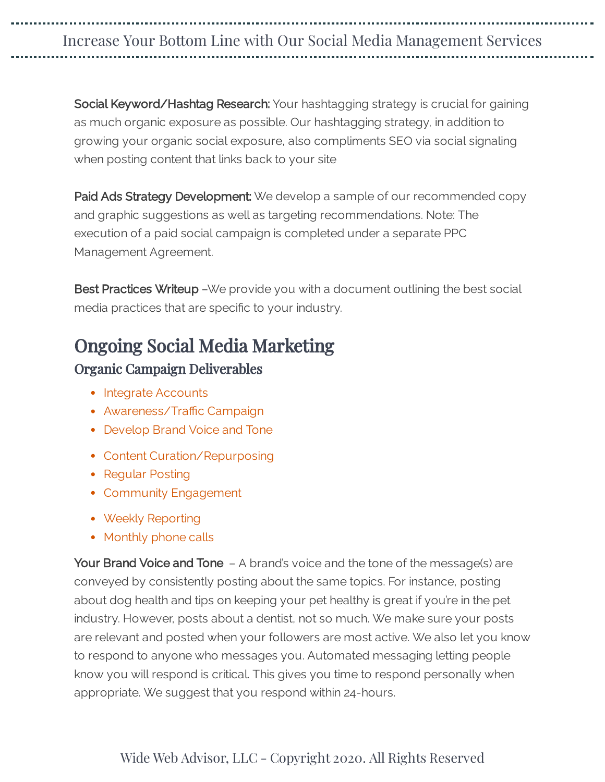Social Keyword/Hashtag Research: Your hashtagging strategy is crucial for gaining as much organic exposure as possible. Our hashtagging strategy, in addition to growing your organic social exposure, also compliments SEO via social signaling when posting content that links back to your site

Paid Ads Strategy Development: We develop a sample of our recommended copy and graphic suggestions as well as targeting recommendations. Note: The execution of a paid social campaign is completed under a separate PPC Management Agreement.

Best Practices Writeup -We provide you with a document outlining the best social media practices that are specific to your industry.

### Ongoing Social Media Marketing

#### Organic Campaign Deliverables

- Integrate Accounts
- Awareness/Traffic Campaign
- Develop Brand Voice and Tone
- Content Curation/Repurposing
- Regular Posting
- Community Engagement
- Weekly Reporting
- Monthly phone calls

**Your Brand Voice and Tone** - A brand's voice and the tone of the message(s) are conveyed by consistently posting about the same topics. For instance, posting about dog health and tips on keeping your pet healthy is great if you're in the pet industry. However, posts about a dentist, not so much. We make sure your posts are relevant and posted when your followers are most active. We also let you know to respond to anyone who messages you. Automated messaging letting people know you will respond is critical. This gives you time to respond personally when appropriate. We suggest that you respond within 24-hours.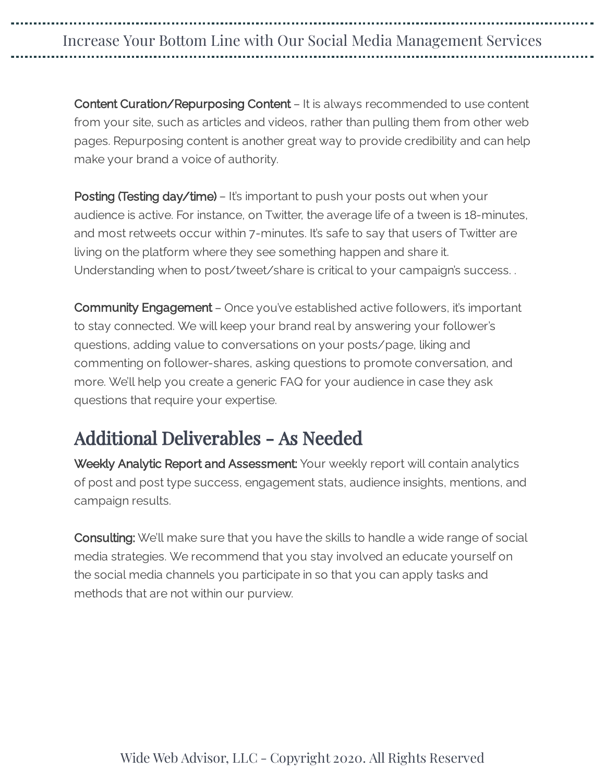**Content Curation/Repurposing Content** - It is always recommended to use content from your site, such as articles and videos, rather than pulling them from other web pages. Repurposing content is another great way to provide credibility and can help make your brand a voice of authority.

**Posting (Testing day/time)** – It's important to push your posts out when your audience is active. For instance, on Twitter, the average life of a tween is 18-minutes, and most retweets occur within 7-minutes. It's safe to say that users of Twitter are living on the platform where they see something happen and share it. Understanding when to post/tweet/share is critical to your campaign's success. .

**Community Engagement** – Once you've established active followers, it's important to stay connected. We will keep your brand real by answering your follower's questions, adding value to conversations on your posts/page, liking and commenting on follower-shares, asking questions to promote conversation, and more. We'll help you create a generic FAQ for your audience in case they ask questions that require your expertise.

### Additional Deliverables - As Needed

Weekly Analytic Report and Assessment: Your weekly report will contain analytics of post and post type success, engagement stats, audience insights, mentions, and campaign results.

**Consulting:** We'll make sure that you have the skills to handle a wide range of social media strategies. We recommend that you stay involved an educate yourself on the social media channels you participate in so that you can apply tasks and methods that are not within our purview.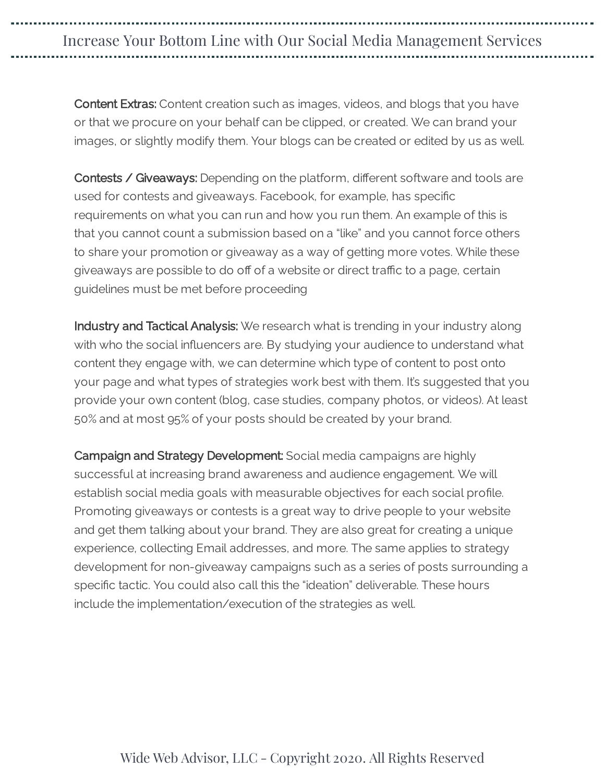**Content Extras:** Content creation such as images, videos, and blogs that you have or that we procure on your behalf can be clipped, or created. We can brand your images, or slightly modify them. Your blogs can be created or edited by us as well.

Contests / Giveaways: Depending on the platform, different software and tools are used for contests and giveaways. Facebook, for example, has specific requirements on what you can run and how you run them. An example of this is that you cannot count a submission based on a "like" and you cannot force others to share your promotion or giveaway as a way of getting more votes. While these giveaways are possible to do off of a website or direct traffic to a page, certain guidelines must be met before proceeding

Industry and Tactical Analysis: We research what is trending in your industry along with who the social influencers are. By studying your audience to understand what content they engage with, we can determine which type of content to post onto your page and what types of strategies work best with them. It's suggested that you provide your own content (blog, case studies, company photos, or videos). At least 50% and at most 95% of your posts should be created by your brand.

**Campaign and Strategy Development:** Social media campaigns are highly successful at increasing brand awareness and audience engagement. We will establish social media goals with measurable objectives for each social profile. Promoting giveaways or contests is a great way to drive people to your website and get them talking about your brand. They are also great for creating a unique experience, collecting Email addresses, and more. The same applies to strategy development for non-giveaway campaigns such as a series of posts surrounding a specific tactic. You could also call this the "ideation" deliverable. These hours include the implementation/execution of the strategies as well.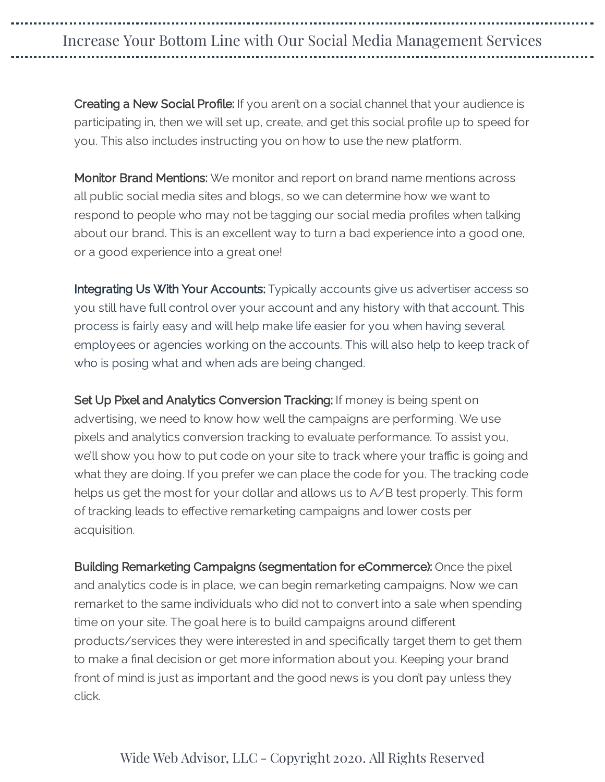**Creating a New Social Profile:** If you aren't on a social channel that your audience is participating in, then we will set up, create, and get this social profile up to speed for you. This also includes instructing you on how to use the new platform.

Monitor Brand Mentions: We monitor and report on brand name mentions across all public social media sites and blogs, so we can determine how we want to respond to people who may not be tagging our social media profiles when talking about our brand. This is an excellent way to turn a bad experience into a good one, or a good experience into a great one!

Integrating Us With Your Accounts: Typically accounts give us advertiser access so you still have full control over your account and any history with that account. This process is fairly easy and will help make life easier for you when having several employees or agencies working on the accounts. This will also help to keep track of who is posing what and when ads are being changed.

Set Up Pixel and Analytics Conversion Tracking: If money is being spent on advertising, we need to know how well the campaigns are performing. We use pixels and analytics conversion tracking to evaluate performance. To assist you, we'll show you how to put code on your site to track where your traffic is going and what they are doing. If you prefer we can place the code for you. The tracking code helps us get the most for your dollar and allows us to A/B test properly. This form of tracking leads to effective remarketing campaigns and lower costs per acquisition.

Building Remarketing Campaigns (segmentation for eCommerce): Once the pixel and analytics code is in place, we can begin remarketing campaigns. Now we can remarket to the same individuals who did not to convert into a sale when spending time on your site. The goal here is to build campaigns around different products/services they were interested in and specifically target them to get them to make a final decision or get more information about you. Keeping your brand front of mind is just as important and the good news is you don't pay unless they click.